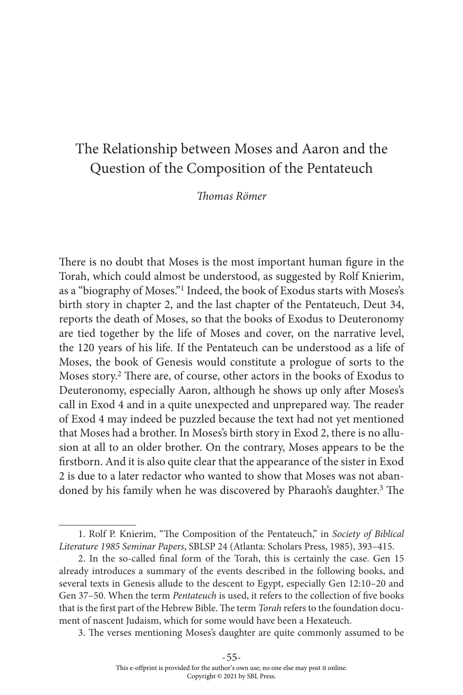# The Relationship between Moses and Aaron and the Question of the Composition of the Pentateuch

Thomas Römer

There is no doubt that Moses is the most important human figure in the Torah, which could almost be understood, as suggested by Rolf Knierim, as a "biography of Moses."<sup>1</sup> Indeed, the book of Exodus starts with Moses's birth story in chapter 2, and the last chapter of the Pentateuch, Deut 34, reports the death of Moses, so that the books of Exodus to Deuteronomy are tied together by the life of Moses and cover, on the narrative level, the 120 years of his life. If the Pentateuch can be understood as a life of Moses, the book of Genesis would constitute a prologue of sorts to the Moses story.<sup>2</sup> There are, of course, other actors in the books of Exodus to Deuteronomy, especially Aaron, although he shows up only after Moses's call in Exod 4 and in a quite unexpected and unprepared way. The reader of Exod 4 may indeed be puzzled because the text had not yet mentioned that Moses had a brother. In Moses's birth story in Exod 2, there is no allusion at all to an older brother. On the contrary, Moses appears to be the firstborn. And it is also quite clear that the appearance of the sister in Exod 2 is due to a later redactor who wanted to show that Moses was not abandoned by his family when he was discovered by Pharaoh's daughter.<sup>3</sup> The

3. The verses mentioning Moses's daughter are quite commonly assumed to be

<sup>1.</sup> Rolf P. Knierim, "The Composition of the Pentateuch," in Society of Biblical Literature 1985 Seminar Papers, SBLSP 24 (Atlanta: Scholars Press, 1985), 393–415.

<sup>2.</sup> In the so-called final form of the Torah, this is certainly the case. Gen 15 already introduces a summary of the events described in the following books, and several texts in Genesis allude to the descent to Egypt, especially Gen 12:10–20 and Gen 37–50. When the term Pentateuch is used, it refers to the collection of five books that is the first part of the Hebrew Bible. The term Torah refers to the foundation document of nascent Judaism, which for some would have been a Hexateuch.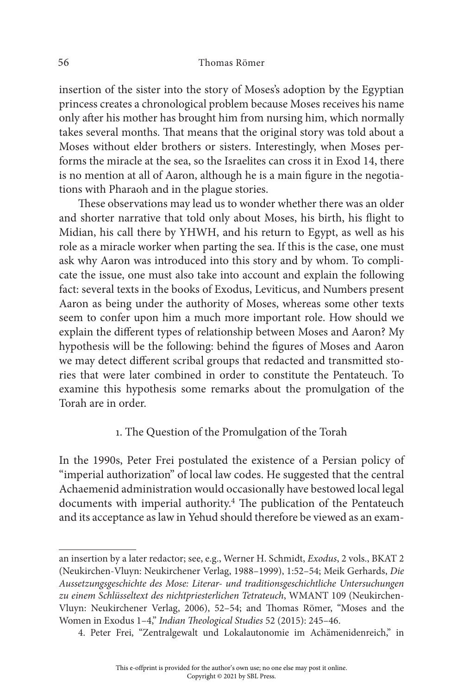insertion of the sister into the story of Moses's adoption by the Egyptian princess creates a chronological problem because Moses receives his name only after his mother has brought him from nursing him, which normally takes several months. That means that the original story was told about a Moses without elder brothers or sisters. Interestingly, when Moses performs the miracle at the sea, so the Israelites can cross it in Exod 14, there is no mention at all of Aaron, although he is a main figure in the negotiations with Pharaoh and in the plague stories.

These observations may lead us to wonder whether there was an older and shorter narrative that told only about Moses, his birth, his flight to Midian, his call there by YHWH, and his return to Egypt, as well as his role as a miracle worker when parting the sea. If this is the case, one must ask why Aaron was introduced into this story and by whom. To complicate the issue, one must also take into account and explain the following fact: several texts in the books of Exodus, Leviticus, and Numbers present Aaron as being under the authority of Moses, whereas some other texts seem to confer upon him a much more important role. How should we explain the different types of relationship between Moses and Aaron? My hypothesis will be the following: behind the figures of Moses and Aaron we may detect different scribal groups that redacted and transmitted stories that were later combined in order to constitute the Pentateuch. To examine this hypothesis some remarks about the promulgation of the Torah are in order.

## 1. The Question of the Promulgation of the Torah

In the 1990s, Peter Frei postulated the existence of a Persian policy of "imperial authorization" of local law codes. He suggested that the central Achaemenid administration would occasionally have bestowed local legal documents with imperial authority.<sup>4</sup> The publication of the Pentateuch and its acceptance as law in Yehud should therefore be viewed as an exam-

an insertion by a later redactor; see, e.g., Werner H. Schmidt, Exodus, 2 vols., BKAT 2 (Neukirchen-Vluyn: Neukirchener Verlag, 1988–1999), 1:52–54; Meik Gerhards, Die Aussetzungsgeschichte des Mose: Literar- und traditionsgeschichtliche Untersuchungen zu einem Schlüsseltext des nichtpriesterlichen Tetrateuch, WMANT 109 (Neukirchen-Vluyn: Neukirchener Verlag, 2006), 52–54; and Thomas Römer, "Moses and the Women in Exodus 1–4," Indian Theological Studies 52 (2015): 245–46.

<sup>4.</sup> Peter Frei, "Zentralgewalt und Lokalautonomie im Achämenidenreich," in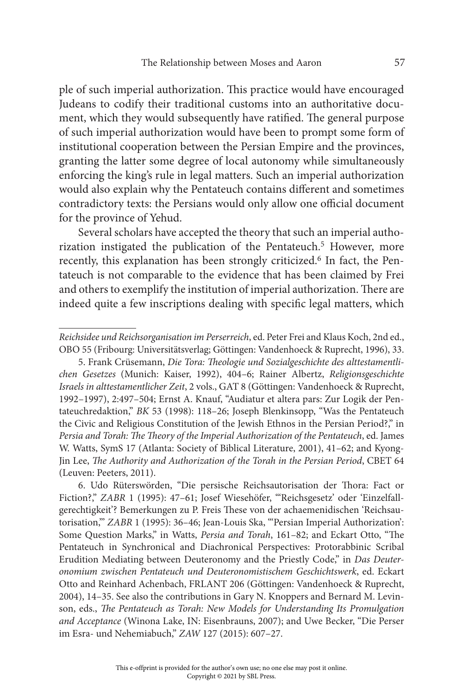ple of such imperial authorization. This practice would have encouraged Judeans to codify their traditional customs into an authoritative document, which they would subsequently have ratified. The general purpose of such imperial authorization would have been to prompt some form of institutional cooperation between the Persian Empire and the provinces, granting the latter some degree of local autonomy while simultaneously enforcing the king's rule in legal matters. Such an imperial authorization would also explain why the Pentateuch contains different and sometimes contradictory texts: the Persians would only allow one official document for the province of Yehud.

Several scholars have accepted the theory that such an imperial authorization instigated the publication of the Pentateuch.<sup>5</sup> However, more recently, this explanation has been strongly criticized.<sup>6</sup> In fact, the Pentateuch is not comparable to the evidence that has been claimed by Frei and others to exemplify the institution of imperial authorization. There are indeed quite a few inscriptions dealing with specific legal matters, which

Reichsidee und Reichsorganisation im Perserreich, ed. Peter Frei and Klaus Koch, 2nd ed., OBO 55 (Fribourg: Universitätsverlag; Göttingen: Vandenhoeck & Ruprecht, 1996), 33.

<sup>5.</sup> Frank Crüsemann, Die Tora: Theologie und Sozialgeschichte des alttestamentlichen Gesetzes (Munich: Kaiser, 1992), 404–6; Rainer Albertz, Religionsgeschichte Israels in alttestamentlicher Zeit, 2 vols., GAT 8 (Göttingen: Vandenhoeck & Ruprecht, 1992–1997), 2:497–504; Ernst A. Knauf, "Audiatur et altera pars: Zur Logik der Pentateuchredaktion," BK 53 (1998): 118–26; Joseph Blenkinsopp, "Was the Pentateuch the Civic and Religious Constitution of the Jewish Ethnos in the Persian Period?," in Persia and Torah: The Theory of the Imperial Authorization of the Pentateuch, ed. James W. Watts, SymS 17 (Atlanta: Society of Biblical Literature, 2001), 41–62; and Kyong-Jin Lee, The Authority and Authorization of the Torah in the Persian Period, CBET 64 (Leuven: Peeters, 2011).

<sup>6.</sup> Udo Rüterswörden, "Die persische Reichsautorisation der Thora: Fact or Fiction?," ZABR 1 (1995): 47–61; Josef Wiesehöfer, "'Reichsgesetz' oder 'Einzelfallgerechtigkeit'? Bemerkungen zu P. Freis These von der achaemenidischen 'Reichsautorisation,'" ZABR 1 (1995): 36–46; Jean-Louis Ska, "'Persian Imperial Authorization': Some Question Marks," in Watts, Persia and Torah, 161-82; and Eckart Otto, "The Pentateuch in Synchronical and Diachronical Perspectives: Protorabbinic Scribal Erudition Mediating between Deuteronomy and the Priestly Code," in Das Deuteronomium zwischen Pentateuch und Deuteronomistischem Geschichtswerk, ed. Eckart Otto and Reinhard Achenbach, FRLANT 206 (Göttingen: Vandenhoeck & Ruprecht, 2004), 14–35. See also the contributions in Gary N. Knoppers and Bernard M. Levinson, eds., The Pentateuch as Torah: New Models for Understanding Its Promulgation and Acceptance (Winona Lake, IN: Eisenbrauns, 2007); and Uwe Becker, "Die Perser im Esra- und Nehemiabuch," ZAW 127 (2015): 607–27.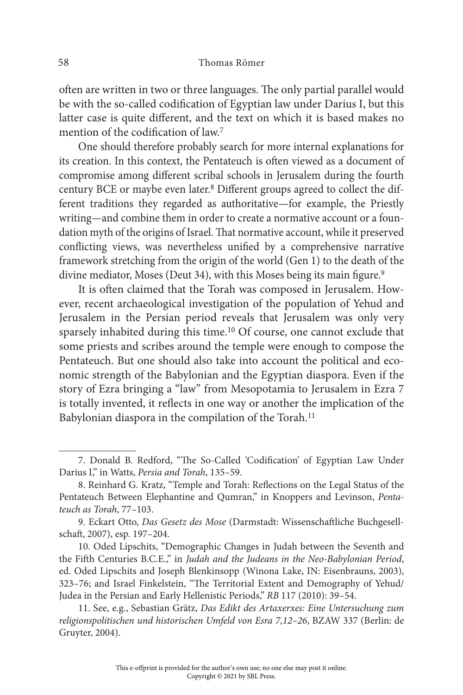often are written in two or three languages. The only partial parallel would be with the so-called codification of Egyptian law under Darius I, but this latter case is quite different, and the text on which it is based makes no mention of the codification of law.<sup>7</sup>

One should therefore probably search for more internal explanations for its creation. In this context, the Pentateuch is often viewed as a document of compromise among different scribal schools in Jerusalem during the fourth century BCE or maybe even later.<sup>8</sup> Different groups agreed to collect the different traditions they regarded as authoritative—for example, the Priestly writing—and combine them in order to create a normative account or a foundation myth of the origins of Israel. That normative account, while it preserved conflicting views, was nevertheless unified by a comprehensive narrative framework stretching from the origin of the world (Gen 1) to the death of the divine mediator, Moses (Deut 34), with this Moses being its main figure.<sup>9</sup>

It is often claimed that the Torah was composed in Jerusalem. However, recent archaeological investigation of the population of Yehud and Jerusalem in the Persian period reveals that Jerusalem was only very sparsely inhabited during this time.<sup>10</sup> Of course, one cannot exclude that some priests and scribes around the temple were enough to compose the Pentateuch. But one should also take into account the political and economic strength of the Babylonian and the Egyptian diaspora. Even if the story of Ezra bringing a "law" from Mesopotamia to Jerusalem in Ezra 7 is totally invented, it reflects in one way or another the implication of the Babylonian diaspora in the compilation of the Torah.<sup>11</sup>

<sup>7.</sup> Donald B. Redford, "The So-Called 'Codification' of Egyptian Law Under Darius I," in Watts, Persia and Torah, 135–59.

<sup>8.</sup> Reinhard G. Kratz, "Temple and Torah: Reflections on the Legal Status of the Pentateuch Between Elephantine and Qumran," in Knoppers and Levinson, Pentateuch as Torah, 77–103.

<sup>9.</sup> Eckart Otto, Das Gesetz des Mose (Darmstadt: Wissenschaftliche Buchgesellschaft, 2007), esp. 197–204.

<sup>10.</sup> Oded Lipschits, "Demographic Changes in Judah between the Seventh and the Fifth Centuries B.C.E.," in Judah and the Judeans in the Neo-Babylonian Period, ed. Oded Lipschits and Joseph Blenkinsopp (Winona Lake, IN: Eisenbrauns, 2003), 323–76; and Israel Finkelstein, "The Territorial Extent and Demography of Yehud/ Judea in the Persian and Early Hellenistic Periods," RB 117 (2010): 39–54.

<sup>11.</sup> See, e.g., Sebastian Grätz, Das Edikt des Artaxerxes: Eine Untersuchung zum religionspolitischen und historischen Umfeld von Esra 7,12–26, BZAW 337 (Berlin: de Gruyter, 2004).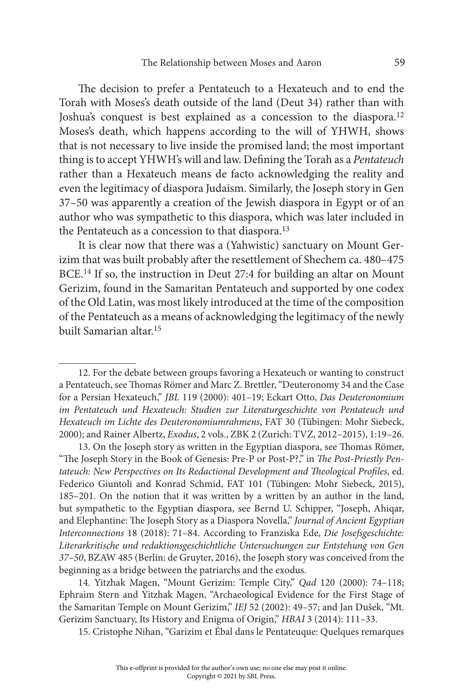The decision to prefer a Pentateuch to a Hexateuch and to end the Torah with Moses's death outside of the land (Deut 34) rather than with Joshua's conquest is best explained as a concession to the diaspora.<sup>12</sup> Moses's death, which happens according to the will of YHWH, shows that is not necessary to live inside the promised land; the most important thing is to accept YHWH's will and law. Defining the Torah as a Pentateuch rather than a Hexateuch means de facto acknowledging the reality and even the legitimacy of diaspora Judaism. Similarly, the Joseph story in Gen 37–50 was apparently a creation of the Jewish diaspora in Egypt or of an author who was sympathetic to this diaspora, which was later included in the Pentateuch as a concession to that diaspora.<sup>13</sup>

It is clear now that there was a (Yahwistic) sanctuary on Mount Gerizim that was built probably after the resettlement of Shechem ca. 480–475 BCE.<sup>14</sup> If so, the instruction in Deut 27:4 for building an altar on Mount Gerizim, found in the Samaritan Pentateuch and supported by one codex of the Old Latin, was most likely introduced at the time of the composition of the Pentateuch as a means of acknowledging the legitimacy of the newly built Samarian altar.<sup>15</sup>

14. Yitzhak Magen, "Mount Gerizim: Temple City," Qad 120 (2000): 74–118; Ephraim Stern and Yitzhak Magen, "Archaeological Evidence for the First Stage of the Samaritan Temple on Mount Gerizim," IEJ 52 (2002): 49-57; and Jan Dušek, "Mt. Gerizim Sanctuary, Its History and Enigma of Origin," HBAI 3 (2014): 111–33.

15. Cristophe Nihan, "Garizim et Ébal dans le Pentateuque: Quelques remarques

<sup>12.</sup> For the debate between groups favoring a Hexateuch or wanting to construct a Pentateuch, see Thomas Römer and Marc Z. Brettler, "Deuteronomy 34 and the Case for a Persian Hexateuch," JBL 119 (2000): 401–19; Eckart Otto, Das Deuteronomium im Pentateuch und Hexateuch: Studien zur Literaturgeschichte von Pentateuch und Hexateuch im Lichte des Deuteronomiumrahmens, FAT 30 (Tübingen: Mohr Siebeck, 2000); and Rainer Albertz, Exodus, 2 vols., ZBK 2 (Zurich: TVZ, 2012–2015), 1:19–26.

<sup>13.</sup> On the Joseph story as written in the Egyptian diaspora, see Thomas Römer, "The Joseph Story in the Book of Genesis: Pre-P or Post-P?," in The Post-Priestly Pentateuch: New Perspectives on Its Redactional Development and Theological Profiles, ed. Federico Giuntoli and Konrad Schmid, FAT 101 (Tübingen: Mohr Siebeck, 2015), 185–201. On the notion that it was written by a written by an author in the land, but sympathetic to the Egyptian diaspora, see Bernd U. Schipper, "Joseph, Ahiqar, and Elephantine: The Joseph Story as a Diaspora Novella," Journal of Ancient Egyptian Interconnections 18 (2018): 71–84. According to Franziska Ede, Die Josefsgeschichte: Literarkritische und redaktionsgeschichtliche Untersuchungen zur Entstehung von Gen 37–50, BZAW 485 (Berlin: de Gruyter, 2016), the Joseph story was conceived from the beginning as a bridge between the patriarchs and the exodus.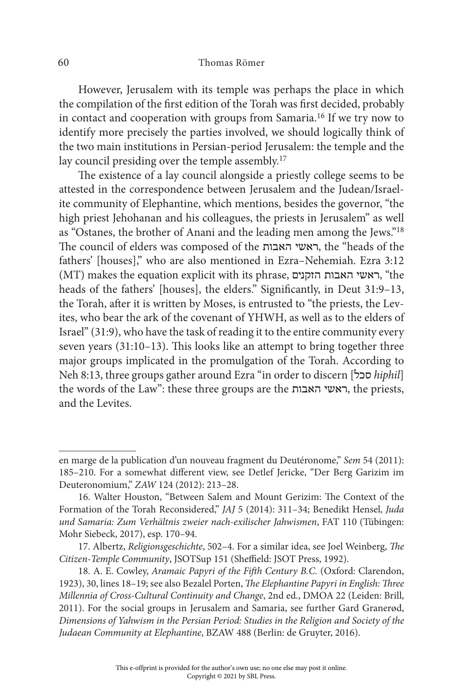However, Jerusalem with its temple was perhaps the place in which the compilation of the first edition of the Torah was first decided, probably in contact and cooperation with groups from Samaria.<sup>16</sup> If we try now to identify more precisely the parties involved, we should logically think of the two main institutions in Persian-period Jerusalem: the temple and the lay council presiding over the temple assembly.<sup>17</sup>

The existence of a lay council alongside a priestly college seems to be attested in the correspondence between Jerusalem and the Judean/Israelite community of Elephantine, which mentions, besides the governor, "the high priest Jehohanan and his colleagues, the priests in Jerusalem" as well as "Ostanes, the brother of Anani and the leading men among the Jews."<sup>18</sup> The council of elders was composed of the האבות ראשי, the "heads of the fathers' [houses]," who are also mentioned in Ezra–Nehemiah. Ezra 3:12 (MT) makes the equation explicit with its phrase, הזקנים האבות ראשי," the heads of the fathers' [houses], the elders." Significantly, in Deut 31:9–13, the Torah, after it is written by Moses, is entrusted to "the priests, the Levites, who bear the ark of the covenant of YHWH, as well as to the elders of Israel" (31:9), who have the task of reading it to the entire community every seven years (31:10–13). This looks like an attempt to bring together three major groups implicated in the promulgation of the Torah. According to Neh 8:13, three groups gather around Ezra "in order to discern [סכל] hiphil] the words of the Law": these three groups are the האבות ראשי, the priests, and the Levites.

en marge de la publication d'un nouveau fragment du Deutéronome," Sem 54 (2011): 185–210. For a somewhat different view, see Detlef Jericke, "Der Berg Garizim im Deuteronomium," ZAW 124 (2012): 213–28.

<sup>16.</sup> Walter Houston, "Between Salem and Mount Gerizim: The Context of the Formation of the Torah Reconsidered," JAJ 5 (2014): 311–34; Benedikt Hensel, Juda und Samaria: Zum Verhältnis zweier nach-exilischer Jahwismen, FAT 110 (Tübingen: Mohr Siebeck, 2017), esp. 170–94.

<sup>17.</sup> Albertz, Religionsgeschichte, 502–4. For a similar idea, see Joel Weinberg, The Citizen-Temple Community, JSOTSup 151 (Sheffield: JSOT Press, 1992).

<sup>18.</sup> A. E. Cowley, Aramaic Papyri of the Fifth Century B.C. (Oxford: Clarendon, 1923), 30, lines 18–19; see also Bezalel Porten, The Elephantine Papyri in English: Three Millennia of Cross-Cultural Continuity and Change, 2nd ed., DMOA 22 (Leiden: Brill, 2011). For the social groups in Jerusalem and Samaria, see further Gard Granerød, Dimensions of Yahwism in the Persian Period: Studies in the Religion and Society of the Judaean Community at Elephantine, BZAW 488 (Berlin: de Gruyter, 2016).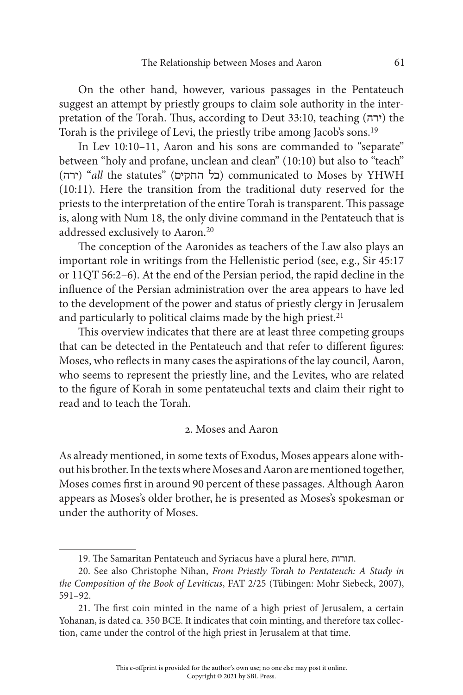On the other hand, however, various passages in the Pentateuch suggest an attempt by priestly groups to claim sole authority in the interpretation of the Torah. Thus, according to Deut 33:10, teaching (ירה) the Torah is the privilege of Levi, the priestly tribe among Jacob's sons.<sup>19</sup>

In Lev 10:10–11, Aaron and his sons are commanded to "separate" between "holy and profane, unclean and clean" (10:10) but also to "teach" (ירה) "all the statutes" (כל החקים) communicated to Moses by YHWH (10:11). Here the transition from the traditional duty reserved for the priests to the interpretation of the entire Torah is transparent. This passage is, along with Num 18, the only divine command in the Pentateuch that is addressed exclusively to Aaron.<sup>20</sup>

The conception of the Aaronides as teachers of the Law also plays an important role in writings from the Hellenistic period (see, e.g., Sir 45:17 or 11QT 56:2–6). At the end of the Persian period, the rapid decline in the influence of the Persian administration over the area appears to have led to the development of the power and status of priestly clergy in Jerusalem and particularly to political claims made by the high priest.<sup>21</sup>

This overview indicates that there are at least three competing groups that can be detected in the Pentateuch and that refer to different figures: Moses, who reflects in many cases the aspirations of the lay council, Aaron, who seems to represent the priestly line, and the Levites, who are related to the figure of Korah in some pentateuchal texts and claim their right to read and to teach the Torah.

## 2. Moses and Aaron

As already mentioned, in some texts of Exodus, Moses appears alone without his brother. In the texts where Moses and Aaron are mentioned together, Moses comes first in around 90 percent of these passages. Although Aaron appears as Moses's older brother, he is presented as Moses's spokesman or under the authority of Moses.

<sup>19.</sup> The Samaritan Pentateuch and Syriacus have a plural here, תורות.

<sup>20.</sup> See also Christophe Nihan, From Priestly Torah to Pentateuch: A Study in the Composition of the Book of Leviticus, FAT 2/25 (Tübingen: Mohr Siebeck, 2007), 591–92.

<sup>21.</sup> The first coin minted in the name of a high priest of Jerusalem, a certain Yohanan, is dated ca. 350 BCE. It indicates that coin minting, and therefore tax collection, came under the control of the high priest in Jerusalem at that time.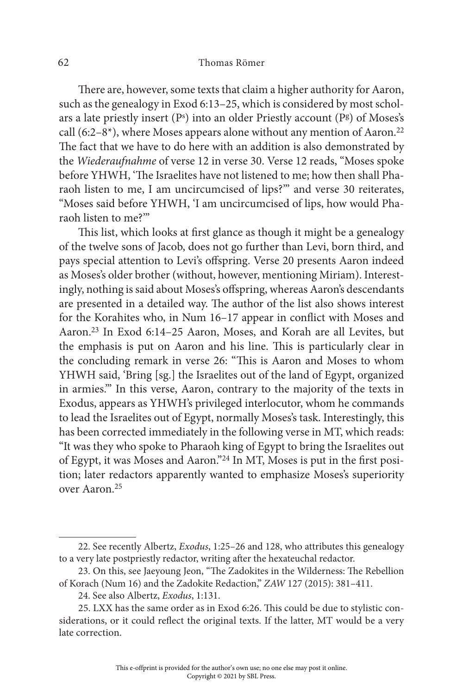There are, however, some texts that claim a higher authority for Aaron, such as the genealogy in Exod 6:13–25, which is considered by most scholars a late priestly insert (P<sup>s</sup>) into an older Priestly account (P<sup>g</sup>) of Moses's call (6:2–8 $*$ ), where Moses appears alone without any mention of Aaron.<sup>22</sup> The fact that we have to do here with an addition is also demonstrated by the Wiederaufnahme of verse 12 in verse 30. Verse 12 reads, "Moses spoke before YHWH, 'The Israelites have not listened to me; how then shall Pharaoh listen to me, I am uncircumcised of lips?'" and verse 30 reiterates, "Moses said before YHWH, 'I am uncircumcised of lips, how would Pharaoh listen to me?'"

This list, which looks at first glance as though it might be a genealogy of the twelve sons of Jacob, does not go further than Levi, born third, and pays special attention to Levi's offspring. Verse 20 presents Aaron indeed as Moses's older brother (without, however, mentioning Miriam). Interestingly, nothing is said about Moses's offspring, whereas Aaron's descendants are presented in a detailed way. The author of the list also shows interest for the Korahites who, in Num 16–17 appear in conflict with Moses and Aaron.<sup>23</sup> In Exod 6:14–25 Aaron, Moses, and Korah are all Levites, but the emphasis is put on Aaron and his line. This is particularly clear in the concluding remark in verse 26: "This is Aaron and Moses to whom YHWH said, 'Bring [sg.] the Israelites out of the land of Egypt, organized in armies.'" In this verse, Aaron, contrary to the majority of the texts in Exodus, appears as YHWH's privileged interlocutor, whom he commands to lead the Israelites out of Egypt, normally Moses's task. Interestingly, this has been corrected immediately in the following verse in MT, which reads: "It was they who spoke to Pharaoh king of Egypt to bring the Israelites out of Egypt, it was Moses and Aaron."24 In MT, Moses is put in the first position; later redactors apparently wanted to emphasize Moses's superiority over Aaron.<sup>25</sup>

<sup>22.</sup> See recently Albertz, Exodus, 1:25–26 and 128, who attributes this genealogy to a very late postpriestly redactor, writing after the hexateuchal redactor.

<sup>23.</sup> On this, see Jaeyoung Jeon, "The Zadokites in the Wilderness: The Rebellion of Korach (Num 16) and the Zadokite Redaction," ZAW 127 (2015): 381–411.

<sup>24.</sup> See also Albertz, Exodus, 1:131.

<sup>25.</sup> LXX has the same order as in Exod 6:26. This could be due to stylistic considerations, or it could reflect the original texts. If the latter, MT would be a very late correction.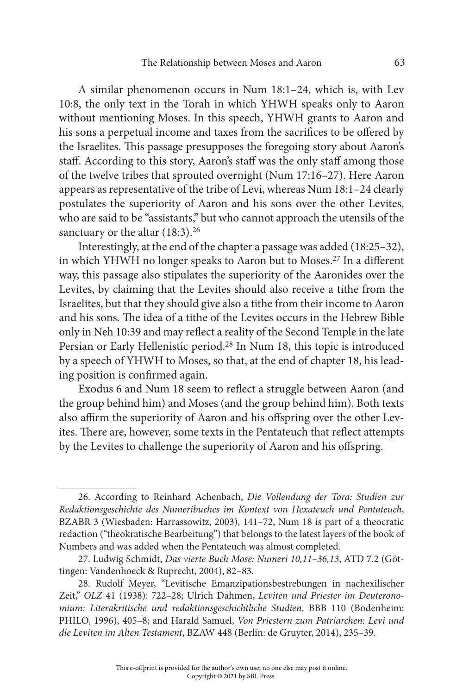A similar phenomenon occurs in Num 18:1–24, which is, with Lev 10:8, the only text in the Torah in which YHWH speaks only to Aaron without mentioning Moses. In this speech, YHWH grants to Aaron and his sons a perpetual income and taxes from the sacrifices to be offered by the Israelites. This passage presupposes the foregoing story about Aaron's staff. According to this story, Aaron's staff was the only staff among those of the twelve tribes that sprouted overnight (Num 17:16–27). Here Aaron appears as representative of the tribe of Levi, whereas Num 18:1–24 clearly postulates the superiority of Aaron and his sons over the other Levites, who are said to be "assistants," but who cannot approach the utensils of the sanctuary or the altar (18:3).<sup>26</sup>

Interestingly, at the end of the chapter a passage was added (18:25–32), in which YHWH no longer speaks to Aaron but to Moses.<sup>27</sup> In a different way, this passage also stipulates the superiority of the Aaronides over the Levites, by claiming that the Levites should also receive a tithe from the Israelites, but that they should give also a tithe from their income to Aaron and his sons. The idea of a tithe of the Levites occurs in the Hebrew Bible only in Neh 10:39 and may reflect a reality of the Second Temple in the late Persian or Early Hellenistic period.<sup>28</sup> In Num 18, this topic is introduced by a speech of YHWH to Moses, so that, at the end of chapter 18, his leading position is confirmed again.

Exodus 6 and Num 18 seem to reflect a struggle between Aaron (and the group behind him) and Moses (and the group behind him). Both texts also affirm the superiority of Aaron and his offspring over the other Levites. There are, however, some texts in the Pentateuch that reflect attempts by the Levites to challenge the superiority of Aaron and his offspring.

<sup>26.</sup> According to Reinhard Achenbach, Die Vollendung der Tora: Studien zur Redaktionsgeschichte des Numeribuches im Kontext von Hexateuch und Pentateuch, BZABR 3 (Wiesbaden: Harrassowitz, 2003), 141–72, Num 18 is part of a theocratic redaction ("theokratische Bearbeitung") that belongs to the latest layers of the book of Numbers and was added when the Pentateuch was almost completed.

<sup>27.</sup> Ludwig Schmidt, Das vierte Buch Mose: Numeri 10,11–36,13, ATD 7.2 (Göttingen: Vandenhoeck & Ruprecht, 2004), 82–83.

<sup>28.</sup> Rudolf Meyer, "Levitische Emanzipationsbestrebungen in nachexilischer Zeit," OLZ 41 (1938): 722–28; Ulrich Dahmen, Leviten und Priester im Deuteronomium: Literakritische und redaktionsgeschichtliche Studien, BBB 110 (Bodenheim: PHILO, 1996), 405–8; and Harald Samuel, Von Priestern zum Patriarchen: Levi und die Leviten im Alten Testament, BZAW 448 (Berlin: de Gruyter, 2014), 235–39.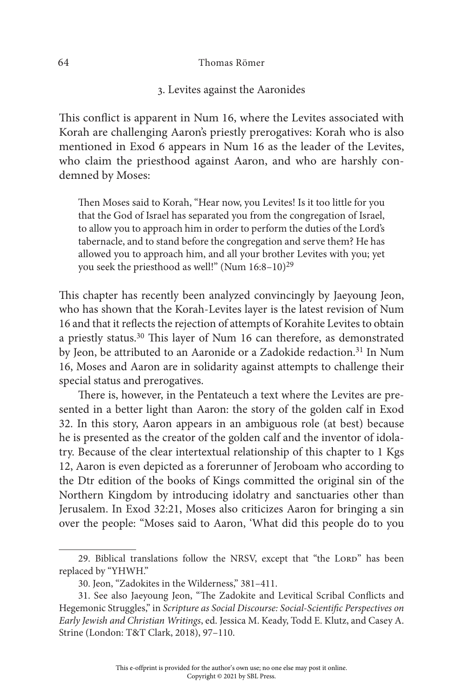3. Levites against the Aaronides

This conflict is apparent in Num 16, where the Levites associated with Korah are challenging Aaron's priestly prerogatives: Korah who is also mentioned in Exod 6 appears in Num 16 as the leader of the Levites, who claim the priesthood against Aaron, and who are harshly condemned by Moses:

Then Moses said to Korah, "Hear now, you Levites! Is it too little for you that the God of Israel has separated you from the congregation of Israel, to allow you to approach him in order to perform the duties of the Lord's tabernacle, and to stand before the congregation and serve them? He has allowed you to approach him, and all your brother Levites with you; yet you seek the priesthood as well!" (Num 16:8–10)<sup>29</sup>

This chapter has recently been analyzed convincingly by Jaeyoung Jeon, who has shown that the Korah-Levites layer is the latest revision of Num 16 and that it reflects the rejection of attempts of Korahite Levites to obtain a priestly status.<sup>30</sup> This layer of Num 16 can therefore, as demonstrated by Jeon, be attributed to an Aaronide or a Zadokide redaction.<sup>31</sup> In Num 16, Moses and Aaron are in solidarity against attempts to challenge their special status and prerogatives.

There is, however, in the Pentateuch a text where the Levites are presented in a better light than Aaron: the story of the golden calf in Exod 32. In this story, Aaron appears in an ambiguous role (at best) because he is presented as the creator of the golden calf and the inventor of idolatry. Because of the clear intertextual relationship of this chapter to 1 Kgs 12, Aaron is even depicted as a forerunner of Jeroboam who according to the Dtr edition of the books of Kings committed the original sin of the Northern Kingdom by introducing idolatry and sanctuaries other than Jerusalem. In Exod 32:21, Moses also criticizes Aaron for bringing a sin over the people: "Moses said to Aaron, 'What did this people do to you

<sup>29.</sup> Biblical translations follow the NRSV, except that "the LORD" has been replaced by "YHWH."

<sup>30.</sup> Jeon, "Zadokites in the Wilderness," 381–411.

<sup>31.</sup> See also Jaeyoung Jeon, "The Zadokite and Levitical Scribal Conflicts and Hegemonic Struggles," in Scripture as Social Discourse: Social-Scientific Perspectives on Early Jewish and Christian Writings, ed. Jessica M. Keady, Todd E. Klutz, and Casey A. Strine (London: T&T Clark, 2018), 97–110.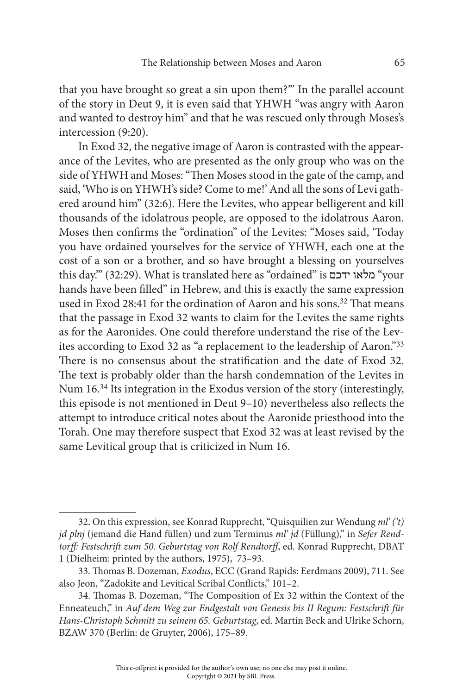that you have brought so great a sin upon them?'" In the parallel account of the story in Deut 9, it is even said that YHWH "was angry with Aaron and wanted to destroy him" and that he was rescued only through Moses's intercession (9:20).

In Exod 32, the negative image of Aaron is contrasted with the appearance of the Levites, who are presented as the only group who was on the side of YHWH and Moses: "Then Moses stood in the gate of the camp, and said, 'Who is on YHWH's side? Come to me!' And all the sons of Levi gathered around him" (32:6). Here the Levites, who appear belligerent and kill thousands of the idolatrous people, are opposed to the idolatrous Aaron. Moses then confirms the "ordination" of the Levites: "Moses said, 'Today you have ordained yourselves for the service of YHWH, each one at the cost of a son or a brother, and so have brought a blessing on yourselves this day.'" (32:29). What is translated here as "ordained" is ידכם מלאו" your hands have been filled" in Hebrew, and this is exactly the same expression used in Exod 28:41 for the ordination of Aaron and his sons.<sup>32</sup> That means that the passage in Exod 32 wants to claim for the Levites the same rights as for the Aaronides. One could therefore understand the rise of the Levites according to Exod 32 as "a replacement to the leadership of Aaron."<sup>33</sup> There is no consensus about the stratification and the date of Exod 32. The text is probably older than the harsh condemnation of the Levites in Num 16.<sup>34</sup> Its integration in the Exodus version of the story (interestingly, this episode is not mentioned in Deut 9–10) nevertheless also reflects the attempt to introduce critical notes about the Aaronide priesthood into the Torah. One may therefore suspect that Exod 32 was at least revised by the same Levitical group that is criticized in Num 16.

<sup>32.</sup> On this expression, see Konrad Rupprecht, "Quisquilien zur Wendung  $ml'(t)$ jd plnj (jemand die Hand füllen) und zum Terminus ml' jd (Füllung)," in Sefer Rendtorff: Festschrift zum 50. Geburtstag von Rolf Rendtorff, ed. Konrad Rupprecht, DBAT 1 (Dielheim: printed by the authors, 1975), 73–93.

<sup>33.</sup> Thomas B. Dozeman, Exodus, ECC (Grand Rapids: Eerdmans 2009), 711. See also Jeon, "Zadokite and Levitical Scribal Conflicts," 101–2.

<sup>34.</sup> Thomas B. Dozeman, "The Composition of Ex 32 within the Context of the Enneateuch," in Auf dem Weg zur Endgestalt von Genesis bis II Regum: Festschrift für Hans-Christoph Schmitt zu seinem 65. Geburtstag, ed. Martin Beck and Ulrike Schorn, BZAW 370 (Berlin: de Gruyter, 2006), 175–89.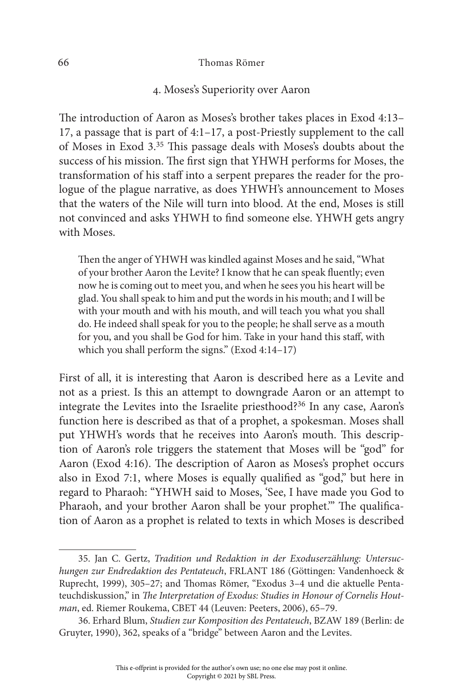## 4. Moses's Superiority over Aaron

The introduction of Aaron as Moses's brother takes places in Exod 4:13– 17, a passage that is part of 4:1–17, a post-Priestly supplement to the call of Moses in Exod 3.<sup>35</sup> This passage deals with Moses's doubts about the success of his mission. The first sign that YHWH performs for Moses, the transformation of his staff into a serpent prepares the reader for the prologue of the plague narrative, as does YHWH's announcement to Moses that the waters of the Nile will turn into blood. At the end, Moses is still not convinced and asks YHWH to find someone else. YHWH gets angry with Moses.

Then the anger of YHWH was kindled against Moses and he said, "What of your brother Aaron the Levite? I know that he can speak fluently; even now he is coming out to meet you, and when he sees you his heart will be glad. You shall speak to him and put the words in his mouth; and I will be with your mouth and with his mouth, and will teach you what you shall do. He indeed shall speak for you to the people; he shall serve as a mouth for you, and you shall be God for him. Take in your hand this staff, with which you shall perform the signs." (Exod 4:14–17)

First of all, it is interesting that Aaron is described here as a Levite and not as a priest. Is this an attempt to downgrade Aaron or an attempt to integrate the Levites into the Israelite priesthood?<sup>36</sup> In any case, Aaron's function here is described as that of a prophet, a spokesman. Moses shall put YHWH's words that he receives into Aaron's mouth. This description of Aaron's role triggers the statement that Moses will be "god" for Aaron (Exod 4:16). The description of Aaron as Moses's prophet occurs also in Exod 7:1, where Moses is equally qualified as "god," but here in regard to Pharaoh: "YHWH said to Moses, 'See, I have made you God to Pharaoh, and your brother Aaron shall be your prophet.'" The qualification of Aaron as a prophet is related to texts in which Moses is described

<sup>35.</sup> Jan C. Gertz, Tradition und Redaktion in der Exoduserzählung: Untersuchungen zur Endredaktion des Pentateuch, FRLANT 186 (Göttingen: Vandenhoeck & Ruprecht, 1999), 305–27; and Thomas Römer, "Exodus 3–4 und die aktuelle Pentateuchdiskussion," in The Interpretation of Exodus: Studies in Honour of Cornelis Houtman, ed. Riemer Roukema, CBET 44 (Leuven: Peeters, 2006), 65–79.

<sup>36.</sup> Erhard Blum, Studien zur Komposition des Pentateuch, BZAW 189 (Berlin: de Gruyter, 1990), 362, speaks of a "bridge" between Aaron and the Levites.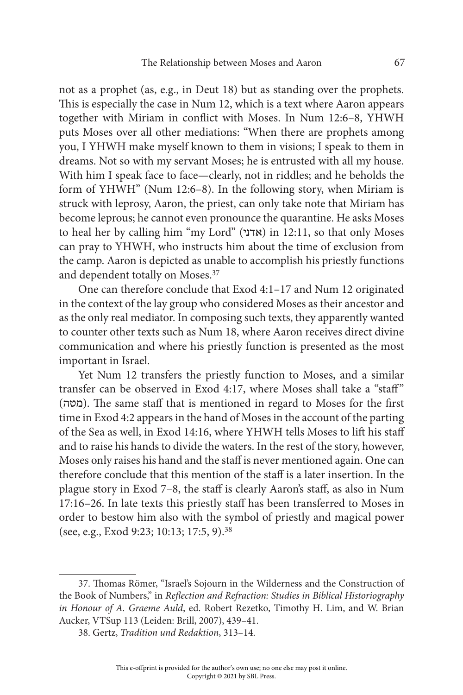not as a prophet (as, e.g., in Deut 18) but as standing over the prophets. This is especially the case in Num 12, which is a text where Aaron appears together with Miriam in conflict with Moses. In Num 12:6–8, YHWH puts Moses over all other mediations: "When there are prophets among you, I YHWH make myself known to them in visions; I speak to them in dreams. Not so with my servant Moses; he is entrusted with all my house. With him I speak face to face—clearly, not in riddles; and he beholds the form of YHWH" (Num 12:6–8). In the following story, when Miriam is struck with leprosy, Aaron, the priest, can only take note that Miriam has become leprous; he cannot even pronounce the quarantine. He asks Moses to heal her by calling him "my Lord" (אדני) in 12:11, so that only Moses can pray to YHWH, who instructs him about the time of exclusion from the camp. Aaron is depicted as unable to accomplish his priestly functions and dependent totally on Moses.<sup>37</sup>

One can therefore conclude that Exod 4:1–17 and Num 12 originated in the context of the lay group who considered Moses as their ancestor and as the only real mediator. In composing such texts, they apparently wanted to counter other texts such as Num 18, where Aaron receives direct divine communication and where his priestly function is presented as the most important in Israel.

Yet Num 12 transfers the priestly function to Moses, and a similar transfer can be observed in Exod 4:17, where Moses shall take a "staff" (מטה(. The same staff that is mentioned in regard to Moses for the first time in Exod 4:2 appears in the hand of Moses in the account of the parting of the Sea as well, in Exod 14:16, where YHWH tells Moses to lift his staff and to raise his hands to divide the waters. In the rest of the story, however, Moses only raises his hand and the staff is never mentioned again. One can therefore conclude that this mention of the staff is a later insertion. In the plague story in Exod 7–8, the staff is clearly Aaron's staff, as also in Num 17:16–26. In late texts this priestly staff has been transferred to Moses in order to bestow him also with the symbol of priestly and magical power (see, e.g., Exod 9:23; 10:13; 17:5, 9).<sup>38</sup>

<sup>37.</sup> Thomas Römer, "Israel's Sojourn in the Wilderness and the Construction of the Book of Numbers," in Reflection and Refraction: Studies in Biblical Historiography in Honour of A. Graeme Auld, ed. Robert Rezetko, Timothy H. Lim, and W. Brian Aucker, VTSup 113 (Leiden: Brill, 2007), 439–41.

<sup>38.</sup> Gertz, Tradition und Redaktion, 313–14.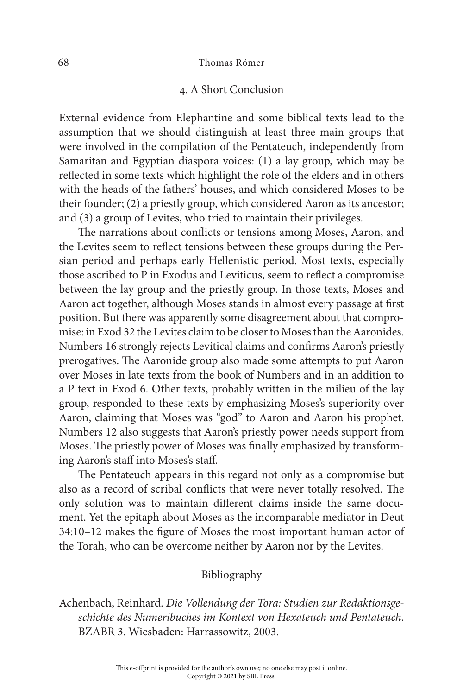## 4. A Short Conclusion

External evidence from Elephantine and some biblical texts lead to the assumption that we should distinguish at least three main groups that were involved in the compilation of the Pentateuch, independently from Samaritan and Egyptian diaspora voices: (1) a lay group, which may be reflected in some texts which highlight the role of the elders and in others with the heads of the fathers' houses, and which considered Moses to be their founder; (2) a priestly group, which considered Aaron as its ancestor; and (3) a group of Levites, who tried to maintain their privileges.

The narrations about conflicts or tensions among Moses, Aaron, and the Levites seem to reflect tensions between these groups during the Persian period and perhaps early Hellenistic period. Most texts, especially those ascribed to P in Exodus and Leviticus, seem to reflect a compromise between the lay group and the priestly group. In those texts, Moses and Aaron act together, although Moses stands in almost every passage at first position. But there was apparently some disagreement about that compromise: in Exod 32 the Levites claim to be closer to Moses than the Aaronides. Numbers 16 strongly rejects Levitical claims and confirms Aaron's priestly prerogatives. The Aaronide group also made some attempts to put Aaron over Moses in late texts from the book of Numbers and in an addition to a P text in Exod 6. Other texts, probably written in the milieu of the lay group, responded to these texts by emphasizing Moses's superiority over Aaron, claiming that Moses was "god" to Aaron and Aaron his prophet. Numbers 12 also suggests that Aaron's priestly power needs support from Moses. The priestly power of Moses was finally emphasized by transforming Aaron's staff into Moses's staff.

The Pentateuch appears in this regard not only as a compromise but also as a record of scribal conflicts that were never totally resolved. The only solution was to maintain different claims inside the same document. Yet the epitaph about Moses as the incomparable mediator in Deut 34:10–12 makes the figure of Moses the most important human actor of the Torah, who can be overcome neither by Aaron nor by the Levites.

### Bibliography

Achenbach, Reinhard. Die Vollendung der Tora: Studien zur Redaktionsgeschichte des Numeribuches im Kontext von Hexateuch und Pentateuch. BZABR 3. Wiesbaden: Harrassowitz, 2003.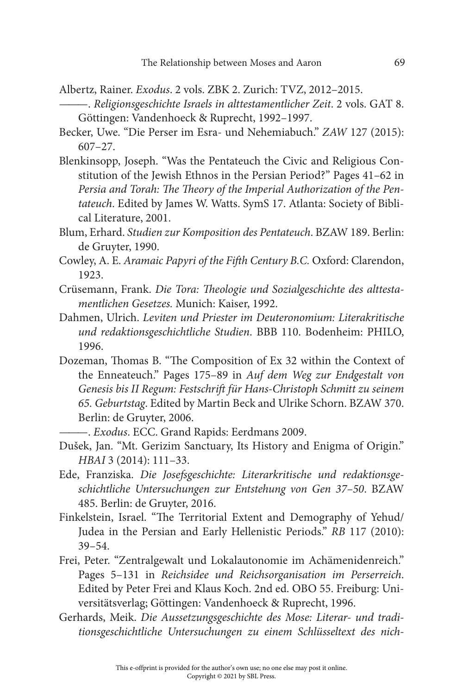- Albertz, Rainer. Exodus. 2 vols. ZBK 2. Zurich: TVZ, 2012–2015.
- ———. Religionsgeschichte Israels in alttestamentlicher Zeit. 2 vols. GAT 8. Göttingen: Vandenhoeck & Ruprecht, 1992–1997.
- Becker, Uwe. "Die Perser im Esra- und Nehemiabuch." ZAW 127 (2015): 607–27.
- Blenkinsopp, Joseph. "Was the Pentateuch the Civic and Religious Constitution of the Jewish Ethnos in the Persian Period?" Pages 41–62 in Persia and Torah: The Theory of the Imperial Authorization of the Pentateuch. Edited by James W. Watts. SymS 17. Atlanta: Society of Biblical Literature, 2001.
- Blum, Erhard. Studien zur Komposition des Pentateuch. BZAW 189. Berlin: de Gruyter, 1990.
- Cowley, A. E. Aramaic Papyri of the Fifth Century B.C. Oxford: Clarendon, 1923.
- Crüsemann, Frank. Die Tora: Theologie und Sozialgeschichte des alttestamentlichen Gesetzes. Munich: Kaiser, 1992.
- Dahmen, Ulrich. Leviten und Priester im Deuteronomium: Literakritische und redaktionsgeschichtliche Studien. BBB 110. Bodenheim: PHILO, 1996.
- Dozeman, Thomas B. "The Composition of Ex 32 within the Context of the Enneateuch." Pages 175–89 in Auf dem Weg zur Endgestalt von Genesis bis II Regum: Festschrift für Hans-Christoph Schmitt zu seinem 65. Geburtstag. Edited by Martin Beck and Ulrike Schorn. BZAW 370. Berlin: de Gruyter, 2006.

———. Exodus. ECC. Grand Rapids: Eerdmans 2009.

- Dušek, Jan. "Mt. Gerizim Sanctuary, Its History and Enigma of Origin." HBAI 3 (2014): 111–33.
- Ede, Franziska. Die Josefsgeschichte: Literarkritische und redaktionsgeschichtliche Untersuchungen zur Entstehung von Gen 37–50. BZAW 485. Berlin: de Gruyter, 2016.
- Finkelstein, Israel. "The Territorial Extent and Demography of Yehud/ Judea in the Persian and Early Hellenistic Periods." RB 117 (2010): 39–54.
- Frei, Peter. "Zentralgewalt und Lokalautonomie im Achämenidenreich." Pages 5–131 in Reichsidee und Reichsorganisation im Perserreich. Edited by Peter Frei and Klaus Koch. 2nd ed. OBO 55. Freiburg: Universitätsverlag; Göttingen: Vandenhoeck & Ruprecht, 1996.
- Gerhards, Meik. Die Aussetzungsgeschichte des Mose: Literar- und traditionsgeschichtliche Untersuchungen zu einem Schlüsseltext des nich-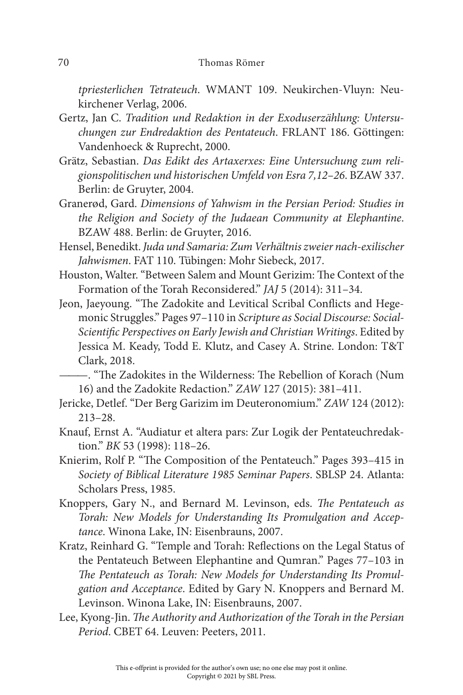tpriesterlichen Tetrateuch. WMANT 109. Neukirchen-Vluyn: Neukirchener Verlag, 2006.

- Gertz, Jan C. Tradition und Redaktion in der Exoduserzählung: Untersuchungen zur Endredaktion des Pentateuch. FRLANT 186. Göttingen: Vandenhoeck & Ruprecht, 2000.
- Grätz, Sebastian. Das Edikt des Artaxerxes: Eine Untersuchung zum religionspolitischen und historischen Umfeld von Esra 7,12–26. BZAW 337. Berlin: de Gruyter, 2004.
- Granerød, Gard. Dimensions of Yahwism in the Persian Period: Studies in the Religion and Society of the Judaean Community at Elephantine. BZAW 488. Berlin: de Gruyter, 2016.
- Hensel, Benedikt. Juda und Samaria: Zum Verhältnis zweier nach-exilischer Jahwismen. FAT 110. Tübingen: Mohr Siebeck, 2017.
- Houston, Walter. "Between Salem and Mount Gerizim: The Context of the Formation of the Torah Reconsidered." JAJ 5 (2014): 311–34.
- Jeon, Jaeyoung. "The Zadokite and Levitical Scribal Conflicts and Hegemonic Struggles." Pages 97–110 in Scripture as Social Discourse: Social-Scientific Perspectives on Early Jewish and Christian Writings. Edited by Jessica M. Keady, Todd E. Klutz, and Casey A. Strine. London: T&T Clark, 2018.
	- ———. "The Zadokites in the Wilderness: The Rebellion of Korach (Num 16) and the Zadokite Redaction." ZAW 127 (2015): 381–411.
- Jericke, Detlef. "Der Berg Garizim im Deuteronomium." ZAW 124 (2012): 213–28.
- Knauf, Ernst A. "Audiatur et altera pars: Zur Logik der Pentateuchredaktion." BK 53 (1998): 118–26.
- Knierim, Rolf P. "The Composition of the Pentateuch." Pages 393–415 in Society of Biblical Literature 1985 Seminar Papers. SBLSP 24. Atlanta: Scholars Press, 1985.
- Knoppers, Gary N., and Bernard M. Levinson, eds. The Pentateuch as Torah: New Models for Understanding Its Promulgation and Acceptance. Winona Lake, IN: Eisenbrauns, 2007.
- Kratz, Reinhard G. "Temple and Torah: Reflections on the Legal Status of the Pentateuch Between Elephantine and Qumran." Pages 77–103 in The Pentateuch as Torah: New Models for Understanding Its Promulgation and Acceptance. Edited by Gary N. Knoppers and Bernard M. Levinson. Winona Lake, IN: Eisenbrauns, 2007.
- Lee, Kyong-Jin. The Authority and Authorization of the Torah in the Persian Period. CBET 64. Leuven: Peeters, 2011.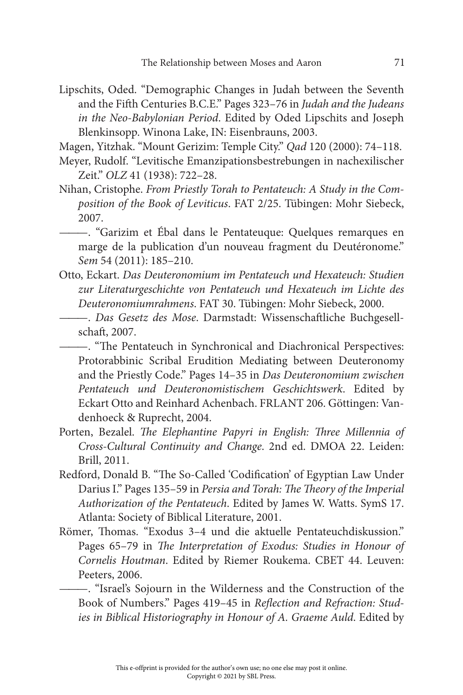- Lipschits, Oded. "Demographic Changes in Judah between the Seventh and the Fifth Centuries B.C.E." Pages 323–76 in Judah and the Judeans in the Neo-Babylonian Period. Edited by Oded Lipschits and Joseph Blenkinsopp. Winona Lake, IN: Eisenbrauns, 2003.
- Magen, Yitzhak. "Mount Gerizim: Temple City." Qad 120 (2000): 74–118.
- Meyer, Rudolf. "Levitische Emanzipationsbestrebungen in nachexilischer Zeit." OLZ 41 (1938): 722–28.
- Nihan, Cristophe. From Priestly Torah to Pentateuch: A Study in the Composition of the Book of Leviticus. FAT 2/25. Tübingen: Mohr Siebeck, 2007.
- ———. "Garizim et Ébal dans le Pentateuque: Quelques remarques en marge de la publication d'un nouveau fragment du Deutéronome." Sem 54 (2011): 185–210.
- Otto, Eckart. Das Deuteronomium im Pentateuch und Hexateuch: Studien zur Literaturgeschichte von Pentateuch und Hexateuch im Lichte des Deuteronomiumrahmens. FAT 30. Tübingen: Mohr Siebeck, 2000.
	- ———. Das Gesetz des Mose. Darmstadt: Wissenschaftliche Buchgesellschaft, 2007.
	- ———. "The Pentateuch in Synchronical and Diachronical Perspectives: Protorabbinic Scribal Erudition Mediating between Deuteronomy and the Priestly Code." Pages 14–35 in Das Deuteronomium zwischen Pentateuch und Deuteronomistischem Geschichtswerk. Edited by Eckart Otto and Reinhard Achenbach. FRLANT 206. Göttingen: Vandenhoeck & Ruprecht, 2004.
- Porten, Bezalel. The Elephantine Papyri in English: Three Millennia of Cross-Cultural Continuity and Change. 2nd ed. DMOA 22. Leiden: Brill, 2011.
- Redford, Donald B. "The So-Called 'Codification' of Egyptian Law Under Darius I." Pages 135–59 in Persia and Torah: The Theory of the Imperial Authorization of the Pentateuch. Edited by James W. Watts. SymS 17. Atlanta: Society of Biblical Literature, 2001.
- Römer, Thomas. "Exodus 3–4 und die aktuelle Pentateuchdiskussion." Pages 65–79 in The Interpretation of Exodus: Studies in Honour of Cornelis Houtman. Edited by Riemer Roukema. CBET 44. Leuven: Peeters, 2006.

———. "Israel's Sojourn in the Wilderness and the Construction of the Book of Numbers." Pages 419–45 in Reflection and Refraction: Studies in Biblical Historiography in Honour of A. Graeme Auld. Edited by